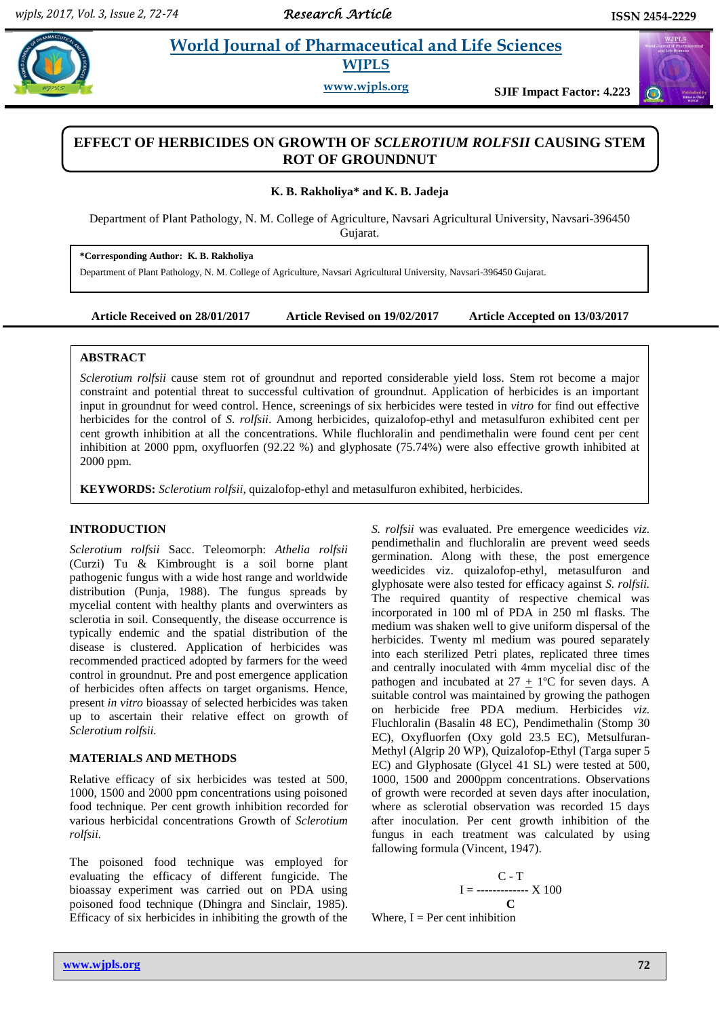$\bigodot$ 

# **Paramaceutical and Life Sciences WJPLS**

**www.wjpls.org SJIF Impact Factor: 4.223**

## **EFFECT OF HERBICIDES ON GROWTH OF** *SCLEROTIUM ROLFSII* **CAUSING STEM ROT OF GROUNDNUT**

**K. B. Rakholiya\* and K. B. Jadeja**

Department of Plant Pathology, N. M. College of Agriculture, Navsari Agricultural University, Navsari-396450 Gujarat.

**\*Corresponding Author: K. B. Rakholiya**

Department of Plant Pathology, N. M. College of Agriculture, Navsari Agricultural University, Navsari-396450 Gujarat.

**Article Received on 28/01/2017 Article Revised on 19/02/2017 Article Accepted on 13/03/2017**

### **ABSTRACT**

*Sclerotium rolfsii* cause stem rot of groundnut and reported considerable yield loss. Stem rot become a major constraint and potential threat to successful cultivation of groundnut. Application of herbicides is an important input in groundnut for weed control. Hence, screenings of six herbicides were tested in *vitro* for find out effective herbicides for the control of *S. rolfsii*. Among herbicides, quizalofop-ethyl and metasulfuron exhibited cent per cent growth inhibition at all the concentrations. While fluchloralin and pendimethalin were found cent per cent inhibition at 2000 ppm, oxyfluorfen (92.22 %) and glyphosate (75.74%) were also effective growth inhibited at 2000 ppm.

**KEYWORDS:** *Sclerotium rolfsii,* quizalofop-ethyl and metasulfuron exhibited, herbicides.

### **INTRODUCTION**

*Sclerotium rolfsii* Sacc. Teleomorph: *Athelia rolfsii* (Curzi) Tu & Kimbrought is a soil borne plant pathogenic fungus with a wide host range and worldwide distribution (Punja, 1988). The fungus spreads by mycelial content with healthy plants and overwinters as sclerotia in soil. Consequently, the disease occurrence is typically endemic and the spatial distribution of the disease is clustered. Application of herbicides was recommended practiced adopted by farmers for the weed control in groundnut. Pre and post emergence application of herbicides often affects on target organisms. Hence, present *in vitro* bioassay of selected herbicides was taken up to ascertain their relative effect on growth of *Sclerotium rolfsii.*

#### **MATERIALS AND METHODS**

Relative efficacy of six herbicides was tested at 500, 1000, 1500 and 2000 ppm concentrations using poisoned food technique. Per cent growth inhibition recorded for various herbicidal concentrations Growth of *Sclerotium rolfsii.*

The poisoned food technique was employed for evaluating the efficacy of different fungicide. The bioassay experiment was carried out on PDA using poisoned food technique (Dhingra and Sinclair, 1985). Efficacy of six herbicides in inhibiting the growth of the

*S. rolfsii* was evaluated. Pre emergence weedicides *viz.* pendimethalin and fluchloralin are prevent weed seeds germination. Along with these, the post emergence weedicides viz. quizalofop-ethyl, metasulfuron and glyphosate were also tested for efficacy against *S. rolfsii.*  The required quantity of respective chemical was incorporated in 100 ml of PDA in 250 ml flasks. The medium was shaken well to give uniform dispersal of the herbicides. Twenty ml medium was poured separately into each sterilized Petri plates, replicated three times and centrally inoculated with 4mm mycelial disc of the pathogen and incubated at  $27 + 1$ <sup>o</sup>C for seven days. A suitable control was maintained by growing the pathogen on herbicide free PDA medium. Herbicides *viz.* Fluchloralin (Basalin 48 EC), Pendimethalin (Stomp 30 EC), Oxyfluorfen (Oxy gold 23.5 EC), Metsulfuran-Methyl (Algrip 20 WP), Quizalofop-Ethyl (Targa super 5 EC) and Glyphosate (Glycel 41 SL) were tested at 500, 1000, 1500 and 2000ppm concentrations. Observations of growth were recorded at seven days after inoculation, where as sclerotial observation was recorded 15 days after inoculation. Per cent growth inhibition of the fungus in each treatment was calculated by using fallowing formula (Vincent, 1947).

$$
I = \frac{C - T}{C}
$$

Where,  $I = Per$  cent inhibition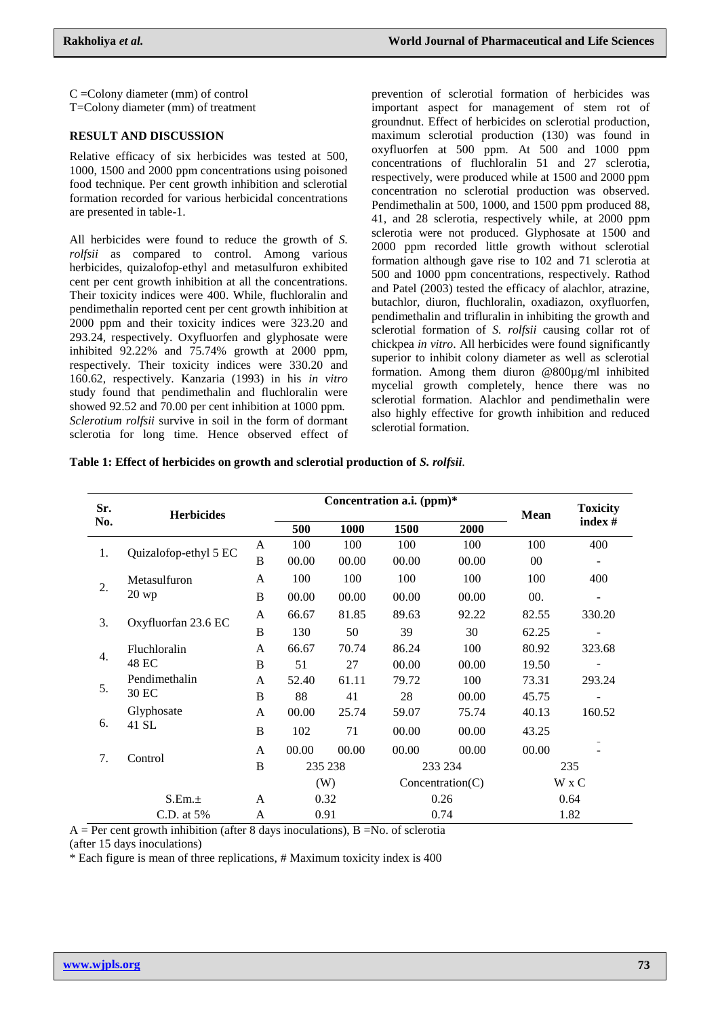C =Colony diameter (mm) of control T=Colony diameter (mm) of treatment

#### **RESULT AND DISCUSSION**

Relative efficacy of six herbicides was tested at 500, 1000, 1500 and 2000 ppm concentrations using poisoned food technique. Per cent growth inhibition and sclerotial formation recorded for various herbicidal concentrations are presented in table-1.

All herbicides were found to reduce the growth of *S. rolfsii* as compared to control. Among various herbicides, quizalofop-ethyl and metasulfuron exhibited cent per cent growth inhibition at all the concentrations. Their toxicity indices were 400. While, fluchloralin and pendimethalin reported cent per cent growth inhibition at 2000 ppm and their toxicity indices were 323.20 and 293.24*,* respectively. Oxyfluorfen and glyphosate were inhibited  $92.22\%$  and  $75.74\%$  growth at 2000 ppm, respectively. Their toxicity indices were 330.20 and 160.62, respectively. Kanzaria (1993) in his *in vitro* study found that pendimethalin and fluchloralin were showed 92.52 and 70.00 per cent inhibition at 1000 ppm. *Sclerotium rolfsii* survive in soil in the form of dormant sclerotia for long time. Hence observed effect of

prevention of sclerotial formation of herbicides was important aspect for management of stem rot of groundnut. Effect of herbicides on sclerotial production, maximum sclerotial production (130) was found in oxyfluorfen at 500 ppm. At 500 and 1000 ppm concentrations of fluchloralin 51 and 27 sclerotia, respectively, were produced while at 1500 and 2000 ppm concentration no sclerotial production was observed. Pendimethalin at 500, 1000, and 1500 ppm produced 88, 41, and 28 sclerotia, respectively while, at 2000 ppm sclerotia were not produced. Glyphosate at 1500 and 2000 ppm recorded little growth without sclerotial formation although gave rise to 102 and 71 sclerotia at 500 and 1000 ppm concentrations, respectively. Rathod and Patel (2003) tested the efficacy of alachlor, atrazine, butachlor, diuron, fluchloralin, oxadiazon, oxyfluorfen, pendimethalin and trifluralin in inhibiting the growth and sclerotial formation of *S. rolfsii* causing collar rot of chickpea *in vitro*. All herbicides were found significantly superior to inhibit colony diameter as well as sclerotial formation. Among them diuron @800µg/ml inhibited mycelial growth completely, hence there was no sclerotial formation. Alachlor and pendimethalin were also highly effective for growth inhibition and reduced sclerotial formation.

|  |  |  |  |  | Table 1: Effect of herbicides on growth and sclerotial production of S. rolfsii. |  |  |
|--|--|--|--|--|----------------------------------------------------------------------------------|--|--|
|--|--|--|--|--|----------------------------------------------------------------------------------|--|--|

| Sr. | <b>Herbicides</b>     |              | Concentration a.i. (ppm)* |       |                  |       | <b>Mean</b> | <b>Toxicity</b> |
|-----|-----------------------|--------------|---------------------------|-------|------------------|-------|-------------|-----------------|
| No. |                       |              | 500                       | 1000  | 1500             | 2000  |             | index#          |
| 1.  | Quizalofop-ethyl 5 EC | A            | 100                       | 100   | 100              | 100   | 100         | 400             |
|     |                       | B            | 00.00                     | 00.00 | 00.00            | 00.00 | $00\,$      |                 |
| 2.  | Metasulfuron          | A            | 100                       | 100   | 100              | 100   | 100         | 400             |
|     | $20$ wp               | B            | 00.00                     | 00.00 | 00.00            | 00.00 | 00.         |                 |
|     | Oxyfluorfan 23.6 EC   | A            | 66.67                     | 81.85 | 89.63            | 92.22 | 82.55       | 330.20          |
| 3.  |                       | B            | 130                       | 50    | 39               | 30    | 62.25       |                 |
|     | Fluchloralin          | A            | 66.67                     | 70.74 | 86.24            | 100   | 80.92       | 323.68          |
| 4.  | 48 EC                 | B            | 51                        | 27    | 00.00            | 00.00 | 19.50       |                 |
|     | Pendimethalin         | A            | 52.40                     | 61.11 | 79.72            | 100   | 73.31       | 293.24          |
| 5.  | 30 EC                 | $\, {\bf B}$ | 88                        | 41    | 28               | 00.00 | 45.75       |                 |
| 6.  | Glyphosate            | A            | 00.00                     | 25.74 | 59.07            | 75.74 | 40.13       | 160.52          |
|     | 41 SL                 | B            | 102                       | 71    | 00.00            | 00.00 | 43.25       |                 |
| 7.  |                       | A            | 00.00                     | 00.00 | 00.00            | 00.00 | 00.00       |                 |
|     | Control               | $\bf{B}$     | 235 238                   |       | 233 234          |       | 235         |                 |
|     |                       |              | (W)                       |       | Concentration(C) |       | W x C       |                 |
|     | S.Em.±                |              | 0.32                      |       | 0.26             |       | 0.64        |                 |
|     | C.D. at 5%            | A            | 0.91                      |       | 0.74             |       | 1.82        |                 |

 $A = Per$  cent growth inhibition (after 8 days inoculations),  $B = No$ . of sclerotia (after 15 days inoculations)

\* Each figure is mean of three replications, # Maximum toxicity index is 400